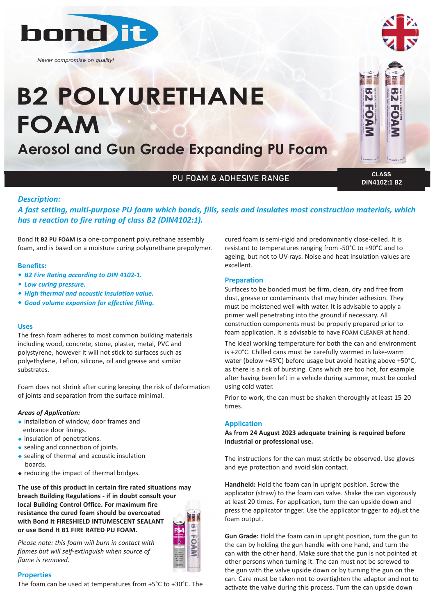

*Never compromise on quality!*

# **B2 POLYURETHANE FOAM**

**Aerosol and Gun Grade Expanding PU Foam**

# PU FOAM & ADHESIVE RANGE **CLASS**

**DIN4102:1 B2**

#### *Description:*

*A fast setting, multi‐purpose PU foam which bonds, fills, seals and insulates most construction materials, which has a reaction to fire rating of class B2 (DIN4102:1).*

Bond It **B2 PU FOAM** is a one-component polyurethane assembly foam, and is based on a moisture curing polyurethane prepolymer.

#### **Benefits:**

- w *B2 Fire Rating according to DIN 4102‐1.*
- **\*** Low curing pressure.
- w *High thermal and acoustic insulation value.*
- **\*** Good volume expansion for effective filling.

#### **Uses**

The fresh foam adheres to most common building materials including wood, concrete, stone, plaster, metal, PVC and polystyrene, however it will not stick to surfaces such as polyethylene, Teflon, silicone, oil and grease and similar substrates.

Foam does not shrink after curing keeping the risk of deformation of joints and separation from the surface minimal.

#### *Areas of Application:*

- $\bullet$  installation of window, door frames and entrance door linings.
- $\bullet$  insulation of penetrations.
- $\bullet$  sealing and connection of joints.
- $\bullet$  sealing of thermal and acoustic insulation boards.
- $\bullet$  reducing the impact of thermal bridges.

**The use of this product in certain fire rated situations may breach Building Regulations - if in doubt consult your local Building Control Office. For maximum fire resistance the cured foam should be overcoated with Bond It FIRESHIELD INTUMESCENT SEALANT or use Bond It B1 FIRE RATED PU FOAM.**

*Please note: this foam will burn in contact with flames but will self‐extinguish when source of flame is removed.*

#### **Properties**

The foam can be used at temperatures from +5°C to +30°C. The

cured foam is semi-rigid and predominantly close-celled. It is resistant to temperatures ranging from -50°C to +90°C and to ageing, but not to UV-rays. Noise and heat insulation values are excellent.

#### **Preparation**

Surfaces to be bonded must be firm, clean, dry and free from dust, grease or contaminants that may hinder adhesion. They must be moistened well with water. It is advisable to apply a primer well penetrating into the ground if necessary. All construction components must be properly prepared prior to foam application. It is advisable to have FOAM CLEANER at hand.

The ideal working temperature for both the can and environment is +20°C. Chilled cans must be carefully warmed in luke-warm water (below +45°C) before usage but avoid heating above +50°C, as there is a risk of bursting. Cans which are too hot, for example after having been left in a vehicle during summer, must be cooled using cold water.

Prior to work, the can must be shaken thoroughly at least 15-20 times.

#### **Application**

**As from 24 August 2023 adequate training is required before industrial or professional use.**

The instructions for the can must strictly be observed. Use gloves and eye protection and avoid skin contact.

**Handheld:** Hold the foam can in upright position. Screw the applicator (straw) to the foam can valve. Shake the can vigorously at least 20 times. For application, turn the can upside down and press the applicator trigger. Use the applicator trigger to adjust the foam output.

**Gun Grade:** Hold the foam can in upright position, turn the gun to the can by holding the gun handle with one hand, and turn the can with the other hand. Make sure that the gun is not pointed at other persons when turning it. The can must not be screwed to the gun with the valve upside down or by turning the gun on the can. Care must be taken not to overtighten the adaptor and not to activate the valve during this process. Turn the can upside down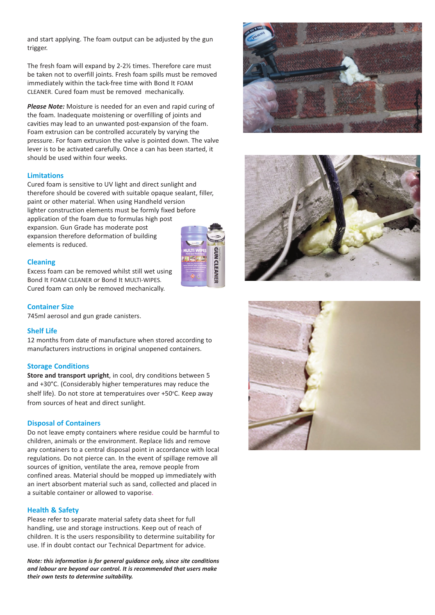and start applying. The foam output can be adjusted by the gun trigger.

The fresh foam will expand by 2-2½ times. Therefore care must be taken not to overfill joints. Fresh foam spills must be removed immediately within the tack-free time with Bond It FOAM CLEANER. Cured foam must be removed mechanically.

*Please Note:* Moisture is needed for an even and rapid curing of the foam. Inadequate moistening or overfilling of joints and cavities may lead to an unwanted post-expansion of the foam. Foam extrusion can be controlled accurately by varying the pressure. For foam extrusion the valve is pointed down. The valve lever is to be activated carefully. Once a can has been started, it should be used within four weeks.

#### **Limitations**

Cured foam is sensitive to UV light and direct sunlight and therefore should be covered with suitable opaque sealant, filler, paint or other material. When using Handheld version lighter construction elements must be formly fixed before application of the foam due to formulas high post expansion. Gun Grade has moderate post expansion therefore deformation of building elements is reduced.



Excess foam can be removed whilst still wet using Bond It FOAM CLEANER or Bond It MULTI-WIPES. Cured foam can only be removed mechanically.

#### **Container Size**

745ml aerosol and gun grade canisters.

#### **Shelf Life**

12 months from date of manufacture when stored according to manufacturers instructions in original unopened containers.

#### **Storage Conditions**

**Store and transport upright**, in cool, dry conditions between 5 and +30°C. (Considerably higher temperatures may reduce the shelf life). Do not store at temperatuires over +50°C. Keep away from sources of heat and direct sunlight.

#### **Disposal of Containers**

Do not leave empty containers where residue could be harmful to children, animals or the environment. Replace lids and remove any containers to a central disposal point in accordance with local regulations. Do not pierce can. In the event of spillage remove all sources of ignition, ventilate the area, remove people from confined areas. Material should be mopped up immediately with an inert absorbent material such as sand, collected and placed in a suitable container or allowed to vaporise.

#### **Health & Safety**

Please refer to separate material safety data sheet for full handling, use and storage instructions. Keep out of reach of children. It is the users responsibility to determine suitability for use. If in doubt contact our Technical Department for advice.

*Note: this information is for general guidance only, since site conditions and labour are beyond our control. It is recommended that users make their own tests to determine suitability.*